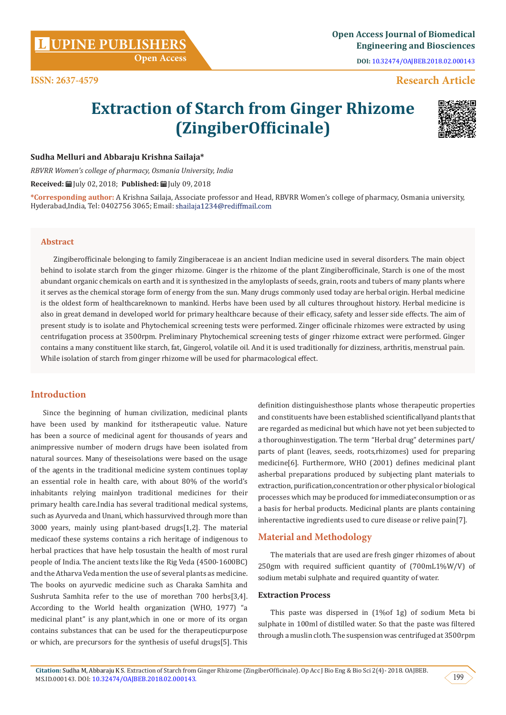**Citation:** Sudha M, Abbaraju K S. Extraction of Starch from Ginger Rhizome (ZingiberOfficinale). Op Acc J Bio Eng & Bio Sci 2(4)- 2018. OAJBEB. MS.ID.000143. DOI: [10.32474/OAJBEB.2018.02.000143](http://dx.doi.org/10.32474/OAJBEB.2018.02.000143).

# **UPINE PUBLISHERS <sup>L</sup> Open Access Journal of Biomedical**

**ISSN: 2637-4579**

definition distinguishesthose plants whose therapeutic properties and constituents have been established scientificallyand plants that are regarded as medicinal but which have not yet been subjected to a thoroughinvestigation. The term "Herbal drug" determines part/ parts of plant (leaves, seeds, roots,rhizomes) used for preparing medicine[6]. Furthermore, WHO (2001) defines medicinal plant asherbal preparations produced by subjecting plant materials to extraction, purification,concentration or other physical or biological processes which may be produced for immediateconsumption or as a basis for herbal products. Medicinal plants are plants containing inherentactive ingredients used to cure disease or relive pain[7].

# **Material and Methodology**

The materials that are used are fresh ginger rhizomes of about 250gm with required sufficient quantity of (700mL1%W/V) of sodium metabi sulphate and required quantity of water.

## **Extraction Process**

This paste was dispersed in (1%of 1g) of sodium Meta bi sulphate in 100ml of distilled water. So that the paste was filtered through a muslin cloth. The suspension was centrifuged at 3500rpm

# **Sudha Melluri and Abbaraju Krishna Sailaja\***

*RBVRR Women's college of pharmacy, Osmania University, India*

 **Open Access**

**Received:** July 02, 2018; **Published:** July 09, 2018

**\*Corresponding author:** A Krishna Sailaja, Associate professor and Head, RBVRR Women's college of pharmacy, Osmania university, Hyderabad, India, Tel: 0402756 3065; Email: shailaja1234@rediffmail.com

**Extraction of Starch from Ginger Rhizome** 

**(ZingiberOfficinale)**

## **Abstract**

Zingiberofficinale belonging to family Zingiberaceae is an ancient Indian medicine used in several disorders. The main object behind to isolate starch from the ginger rhizome. Ginger is the rhizome of the plant Zingiberofficinale, Starch is one of the most abundant organic chemicals on earth and it is synthesized in the amyloplasts of seeds, grain, roots and tubers of many plants where it serves as the chemical storage form of energy from the sun. Many drugs commonly used today are herbal origin. Herbal medicine is the oldest form of healthcareknown to mankind. Herbs have been used by all cultures throughout history. Herbal medicine is also in great demand in developed world for primary healthcare because of their efficacy, safety and lesser side effects. The aim of present study is to isolate and Phytochemical screening tests were performed. Zinger officinale rhizomes were extracted by using centrifugation process at 3500rpm. Preliminary Phytochemical screening tests of ginger rhizome extract were performed. Ginger contains a many constituent like starch, fat, Gingerol, volatile oil. And it is used traditionally for dizziness, arthritis, menstrual pain. While isolation of starch from ginger rhizome will be used for pharmacological effect.

# **Introduction**

Since the beginning of human civilization, medicinal plants have been used by mankind for itstherapeutic value. Nature has been a source of medicinal agent for thousands of years and animpressive number of modern drugs have been isolated from natural sources. Many of theseisolations were based on the usage of the agents in the traditional medicine system continues toplay an essential role in health care, with about 80% of the world's inhabitants relying mainlyon traditional medicines for their primary health care.India has several traditional medical systems, such as Ayurveda and Unani, which hassurvived through more than 3000 years, mainly using plant-based drugs[1,2]. The material medicaof these systems contains a rich heritage of indigenous to herbal practices that have help tosustain the health of most rural people of India. The ancient texts like the Rig Veda (4500-1600BC) and the Atharva Veda mention the use of several plants as medicine. The books on ayurvedic medicine such as Charaka Samhita and Sushruta Samhita refer to the use of morethan 700 herbs[3,4]. According to the World health organization (WHO, 1977) "a medicinal plant" is any plant,which in one or more of its organ contains substances that can be used for the therapeuticpurpose or which, are precursors for the synthesis of useful drugs[5]. This

**DOI:** [10.32474/OAJBEB.2018.02.000143](http://dx.doi.org/10.32474/OAJBEB.2018.02.000143)

**Engineering and Biosciences**

# **Research Article**



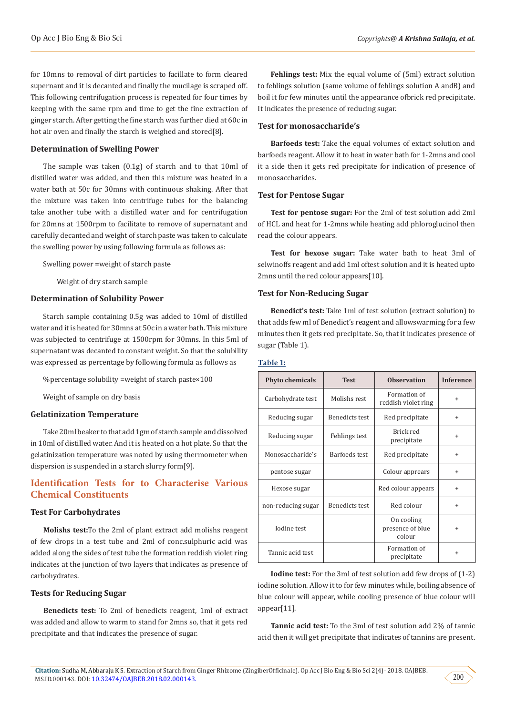for 10mns to removal of dirt particles to facillate to form cleared supernant and it is decanted and finally the mucilage is scraped off. This following centrifugation process is repeated for four times by keeping with the same rpm and time to get the fine extraction of ginger starch. After getting the fine starch was further died at 60c in hot air oven and finally the starch is weighed and stored[8].

### **Determination of Swelling Power**

The sample was taken (0.1g) of starch and to that 10ml of distilled water was added, and then this mixture was heated in a water bath at 50c for 30mns with continuous shaking. After that the mixture was taken into centrifuge tubes for the balancing take another tube with a distilled water and for centrifugation for 20mns at 1500rpm to facilitate to remove of supernatant and carefully decanted and weight of starch paste was taken to calculate the swelling power by using following formula as follows as:

Swelling power =weight of starch paste̶

Weight of dry starch sample

#### **Determination of Solubility Power**

Starch sample containing 0.5g was added to 10ml of distilled water and it is heated for 30mns at 50c in a water bath. This mixture was subjected to centrifuge at 1500rpm for 30mns. In this 5ml of supernatant was decanted to constant weight. So that the solubility was expressed as percentage by following formula as follows as

%percentage solubility =weight of starch paste×100

Weight of sample on dry basis

#### **Gelatinization Temperature**

Take 20ml beaker to that add 1gm of starch sample and dissolved in 10ml of distilled water. And it is heated on a hot plate. So that the gelatinization temperature was noted by using thermometer when dispersion is suspended in a starch slurry form[9].

# **Identification Tests for to Characterise Various Chemical Constituents**

#### **Test For Carbohydrates**

**Molishs test:**To the 2ml of plant extract add molishs reagent of few drops in a test tube and 2ml of conc.sulphuric acid was added along the sides of test tube the formation reddish violet ring indicates at the junction of two layers that indicates as presence of carbohydrates.

#### **Tests for Reducing Sugar**

**Benedicts test:** To 2ml of benedicts reagent, 1ml of extract was added and allow to warm to stand for 2mns so, that it gets red precipitate and that indicates the presence of sugar.

**Fehlings test:** Mix the equal volume of (5ml) extract solution to fehlings solution (same volume of fehlings solution A andB) and boil it for few minutes until the appearance ofbrick red precipitate. It indicates the presence of reducing sugar.

#### **Test for monosaccharide's**

**Barfoeds test:** Take the equal volumes of extact solution and barfoeds reagent. Allow it to heat in water bath for 1-2mns and cool it a side then it gets red precipitate for indication of presence of monosaccharides.

#### **Test for Pentose Sugar**

**Test for pentose sugar:** For the 2ml of test solution add 2ml of HCL and heat for 1-2mns while heating add phloroglucinol then read the colour appears.

**Test for hexose sugar:** Take water bath to heat 3ml of selwinoffs reagent and add 1ml oftest solution and it is heated upto 2mns until the red colour appears[10].

### **Test for Non-Reducing Sugar**

**Benedict's test:** Take 1ml of test solution (extract solution) to that adds few ml of Benedict's reagent and allowswarming for a few minutes then it gets red precipitate. So, that it indicates presence of sugar (Table 1).

#### **Table 1:**

| <b>Phyto chemicals</b> | <b>Test</b>           | <b>Observation</b>                       | <b>Inference</b> |
|------------------------|-----------------------|------------------------------------------|------------------|
| Carbohydrate test      | Molishs rest          | Formation of<br>reddish violet ring      | $\ddot{}$        |
| Reducing sugar         | <b>Benedicts test</b> | Red precipitate                          | $\ddot{}$        |
| Reducing sugar         | Fehlings test         | Brick red<br>precipitate                 | $\ddot{}$        |
| Monosaccharide's       | Barfoeds test         | Red precipitate                          | $\ddot{}$        |
| pentose sugar          |                       | Colour apprears                          | $\ddot{}$        |
| Hexose sugar           |                       | Red colour appears                       | $\ddot{}$        |
| non-reducing sugar     | Benedicts test        | Red colour                               | $\ddot{}$        |
| Iodine test            |                       | On cooling<br>presence of blue<br>colour | $\ddot{}$        |
| Tannic acid test       |                       | Formation of<br>precipitate              | $\ddot{}$        |

**Iodine test:** For the 3ml of test solution add few drops of (1-2) iodine solution. Allow it to for few minutes while, boiling absence of blue colour will appear, while cooling presence of blue colour will appear[11].

**Tannic acid test:** To the 3ml of test solution add 2% of tannic acid then it will get precipitate that indicates of tannins are present.

200